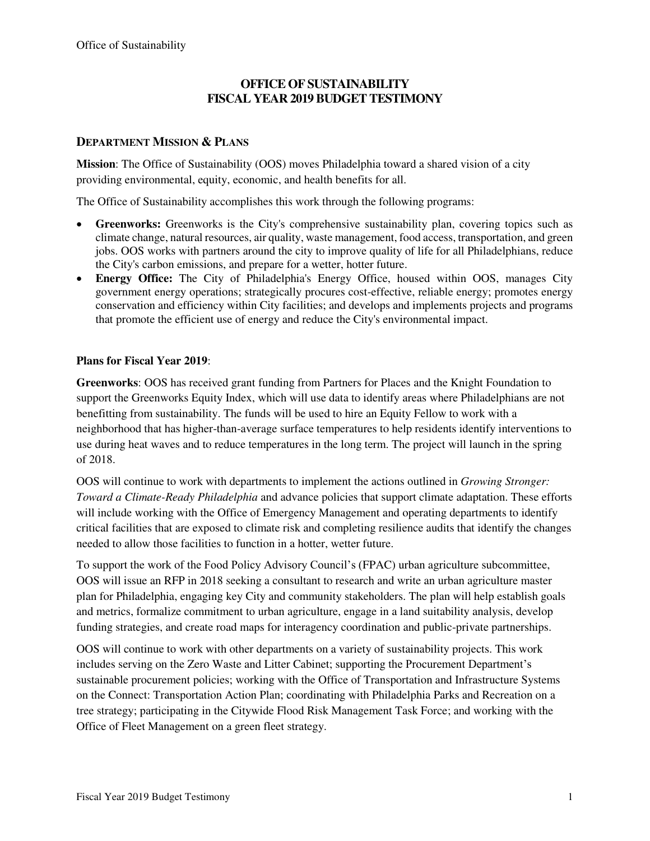# **OFFICE OF SUSTAINABILITY FISCAL YEAR 2019 BUDGET TESTIMONY**

## **DEPARTMENT MISSION & PLANS**

**Mission**: The Office of Sustainability (OOS) moves Philadelphia toward a shared vision of a city providing environmental, equity, economic, and health benefits for all.

The Office of Sustainability accomplishes this work through the following programs:

- **Greenworks:** Greenworks is the City's comprehensive sustainability plan, covering topics such as climate change, natural resources, air quality, waste management, food access, transportation, and green jobs. OOS works with partners around the city to improve quality of life for all Philadelphians, reduce the City's carbon emissions, and prepare for a wetter, hotter future.
- **Energy Office:** The City of Philadelphia's Energy Office, housed within OOS, manages City government energy operations; strategically procures cost-effective, reliable energy; promotes energy conservation and efficiency within City facilities; and develops and implements projects and programs that promote the efficient use of energy and reduce the City's environmental impact.

### **Plans for Fiscal Year 2019**:

**Greenworks**: OOS has received grant funding from Partners for Places and the Knight Foundation to support the Greenworks Equity Index, which will use data to identify areas where Philadelphians are not benefitting from sustainability. The funds will be used to hire an Equity Fellow to work with a neighborhood that has higher-than-average surface temperatures to help residents identify interventions to use during heat waves and to reduce temperatures in the long term. The project will launch in the spring of 2018.

OOS will continue to work with departments to implement the actions outlined in *Growing Stronger: Toward a Climate-Ready Philadelphia* and advance policies that support climate adaptation. These efforts will include working with the Office of Emergency Management and operating departments to identify critical facilities that are exposed to climate risk and completing resilience audits that identify the changes needed to allow those facilities to function in a hotter, wetter future.

To support the work of the Food Policy Advisory Council's (FPAC) urban agriculture subcommittee, OOS will issue an RFP in 2018 seeking a consultant to research and write an urban agriculture master plan for Philadelphia, engaging key City and community stakeholders. The plan will help establish goals and metrics, formalize commitment to urban agriculture, engage in a land suitability analysis, develop funding strategies, and create road maps for interagency coordination and public-private partnerships.

OOS will continue to work with other departments on a variety of sustainability projects. This work includes serving on the Zero Waste and Litter Cabinet; supporting the Procurement Department's sustainable procurement policies; working with the Office of Transportation and Infrastructure Systems on the Connect: Transportation Action Plan; coordinating with Philadelphia Parks and Recreation on a tree strategy; participating in the Citywide Flood Risk Management Task Force; and working with the Office of Fleet Management on a green fleet strategy.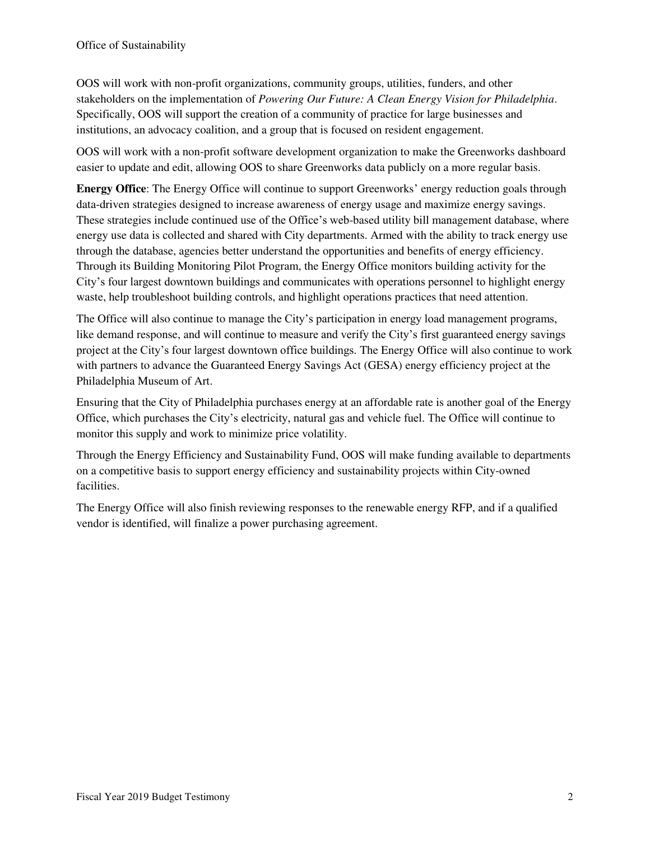OOS will work with non-profit organizations, community groups, utilities, funders, and other stakeholders on the implementation of *Powering Our Future: A Clean Energy Vision for Philadelphia*. Specifically, OOS will support the creation of a community of practice for large businesses and institutions, an advocacy coalition, and a group that is focused on resident engagement.

OOS will work with a non-profit software development organization to make the Greenworks dashboard easier to update and edit, allowing OOS to share Greenworks data publicly on a more regular basis.

**Energy Office**: The Energy Office will continue to support Greenworks' energy reduction goals through data-driven strategies designed to increase awareness of energy usage and maximize energy savings. These strategies include continued use of the Office's web-based utility bill management database, where energy use data is collected and shared with City departments. Armed with the ability to track energy use through the database, agencies better understand the opportunities and benefits of energy efficiency. Through its Building Monitoring Pilot Program, the Energy Office monitors building activity for the City's four largest downtown buildings and communicates with operations personnel to highlight energy waste, help troubleshoot building controls, and highlight operations practices that need attention.

The Office will also continue to manage the City's participation in energy load management programs, like demand response, and will continue to measure and verify the City's first guaranteed energy savings project at the City's four largest downtown office buildings. The Energy Office will also continue to work with partners to advance the Guaranteed Energy Savings Act (GESA) energy efficiency project at the Philadelphia Museum of Art.

Ensuring that the City of Philadelphia purchases energy at an affordable rate is another goal of the Energy Office, which purchases the City's electricity, natural gas and vehicle fuel. The Office will continue to monitor this supply and work to minimize price volatility.

Through the Energy Efficiency and Sustainability Fund, OOS will make funding available to departments on a competitive basis to support energy efficiency and sustainability projects within City-owned facilities.

The Energy Office will also finish reviewing responses to the renewable energy RFP, and if a qualified vendor is identified, will finalize a power purchasing agreement.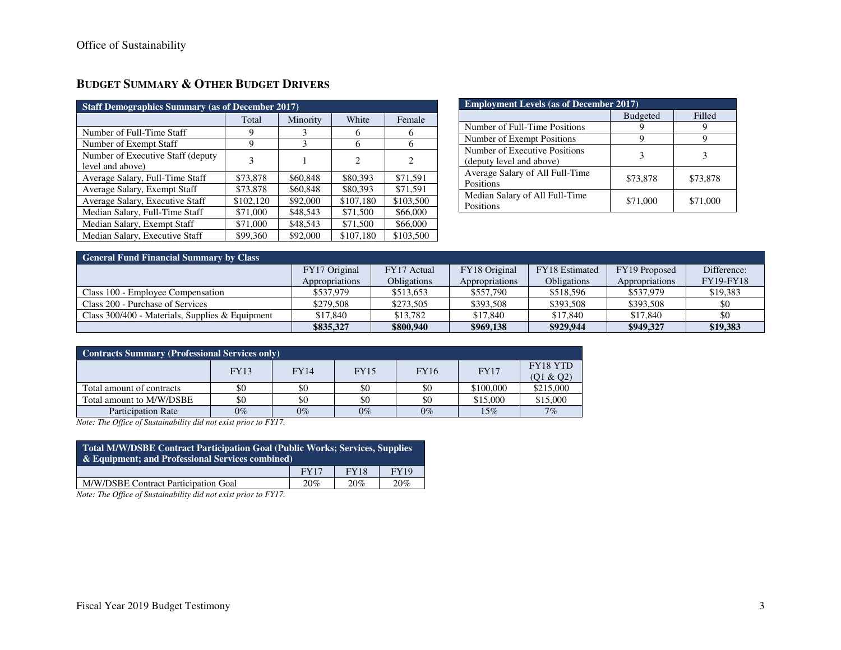| <b>Staff Demographics Summary (as of December 2017)</b> |           |          |                |           |  |  |  |  |  |
|---------------------------------------------------------|-----------|----------|----------------|-----------|--|--|--|--|--|
|                                                         | Total     | Minority | White          | Female    |  |  |  |  |  |
| Number of Full-Time Staff                               | 9         | 3        | 6              | 6         |  |  |  |  |  |
| Number of Exempt Staff                                  | 9         | 3        | 6              | 6         |  |  |  |  |  |
| Number of Executive Staff (deputy)<br>level and above)  | 3         |          | $\overline{c}$ | 2         |  |  |  |  |  |
| Average Salary, Full-Time Staff                         | \$73,878  | \$60,848 | \$80,393       | \$71.591  |  |  |  |  |  |
| Average Salary, Exempt Staff                            | \$73,878  | \$60,848 | \$80,393       | \$71,591  |  |  |  |  |  |
| Average Salary, Executive Staff                         | \$102,120 | \$92,000 | \$107,180      | \$103,500 |  |  |  |  |  |
| Median Salary, Full-Time Staff                          | \$71,000  | \$48,543 | \$71,500       | \$66,000  |  |  |  |  |  |
| Median Salary, Exempt Staff                             | \$71,000  | \$48,543 | \$71,500       | \$66,000  |  |  |  |  |  |
| Median Salary, Executive Staff                          | \$99,360  | \$92,000 | \$107,180      | \$103,500 |  |  |  |  |  |

| <b>Employment Levels (as of December 2017)</b>            |                 |          |  |  |  |  |  |  |
|-----------------------------------------------------------|-----------------|----------|--|--|--|--|--|--|
|                                                           | <b>Budgeted</b> | Filled   |  |  |  |  |  |  |
| Number of Full-Time Positions                             |                 |          |  |  |  |  |  |  |
| Number of Exempt Positions                                |                 |          |  |  |  |  |  |  |
| Number of Executive Positions<br>(deputy level and above) |                 |          |  |  |  |  |  |  |
| Average Salary of All Full-Time<br>Positions              | \$73,878        | \$73,878 |  |  |  |  |  |  |
| Median Salary of All Full-Time<br>Positions               | \$71,000        | \$71,000 |  |  |  |  |  |  |

| <b>General Fund Financial Summary by Class</b>    |                |                    |                |                    |                |                  |  |  |  |  |
|---------------------------------------------------|----------------|--------------------|----------------|--------------------|----------------|------------------|--|--|--|--|
|                                                   | FY17 Original  | FY17 Actual        | FY18 Original  | FY18 Estimated     | FY19 Proposed  | Difference:      |  |  |  |  |
|                                                   | Appropriations | <b>Obligations</b> | Appropriations | <b>Obligations</b> | Appropriations | <b>FY19-FY18</b> |  |  |  |  |
| Class 100 - Employee Compensation                 | \$537,979      | \$513,653          | \$557,790      | \$518,596          | \$537,979      | \$19,383         |  |  |  |  |
| Class 200 - Purchase of Services                  | \$279,508      | \$273,505          | \$393,508      | \$393,508          | \$393,508      | \$0              |  |  |  |  |
| Class $300/400$ - Materials, Supplies & Equipment | \$17,840       | \$13,782           | \$17,840       | \$17,840           | \$17,840       | \$0              |  |  |  |  |
|                                                   | \$835,327      | \$800,940          | \$969,138      | \$929,944          | \$949,327      | \$19,383         |  |  |  |  |

| <b>Contracts Summary (Professional Services only)</b> |             |             |             |             |             |                       |  |  |  |
|-------------------------------------------------------|-------------|-------------|-------------|-------------|-------------|-----------------------|--|--|--|
|                                                       | <b>FY13</b> | <b>FY14</b> | <b>FY15</b> | <b>FY16</b> | <b>FY17</b> | FY18 YTD<br>(Q1 & Q2) |  |  |  |
| Total amount of contracts                             | \$0         | \$0         | \$0         | \$0         | \$100,000   | \$215,000             |  |  |  |
| Total amount to M/W/DSBE                              | \$0         | \$0         | \$0         | \$0         | \$15,000    | \$15,000              |  |  |  |
| <b>Participation Rate</b>                             | $0\%$       | $0\%$       | $0\%$       | $0\%$       | 15%         | 7%                    |  |  |  |

*Note: The Office of Sustainability did not exist prior to FY17.* 

| Total M/W/DSBE Contract Participation Goal (Public Works: Services, Supplies<br>& Equipment; and Professional Services combined) |                                           |  |  |  |  |  |  |  |  |
|----------------------------------------------------------------------------------------------------------------------------------|-------------------------------------------|--|--|--|--|--|--|--|--|
|                                                                                                                                  | <b>FY18</b><br><b>FY17</b><br><b>FY19</b> |  |  |  |  |  |  |  |  |
| M/W/DSBE Contract Participation Goal<br>20%<br>20%<br>20%                                                                        |                                           |  |  |  |  |  |  |  |  |

*Note: The Office of Sustainability did not exist prior to FY17.*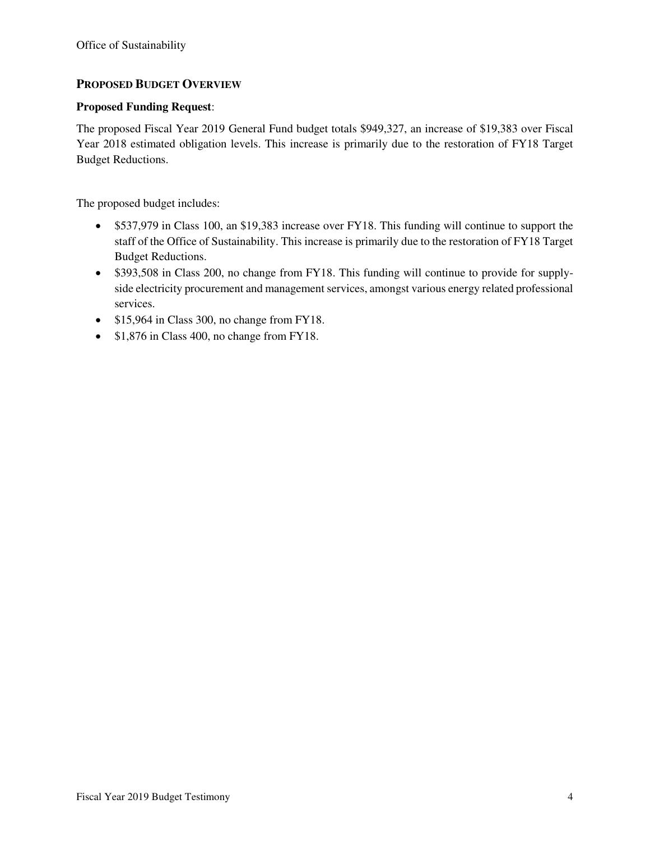## **PROPOSED BUDGET OVERVIEW**

#### **Proposed Funding Request**:

The proposed Fiscal Year 2019 General Fund budget totals \$949,327, an increase of \$19,383 over Fiscal Year 2018 estimated obligation levels. This increase is primarily due to the restoration of FY18 Target Budget Reductions.

The proposed budget includes:

- \$537,979 in Class 100, an \$19,383 increase over FY18. This funding will continue to support the staff of the Office of Sustainability. This increase is primarily due to the restoration of FY18 Target Budget Reductions.
- \$393,508 in Class 200, no change from FY18. This funding will continue to provide for supplyside electricity procurement and management services, amongst various energy related professional services.
- \$15,964 in Class 300, no change from FY18.
- \$1,876 in Class 400, no change from FY18.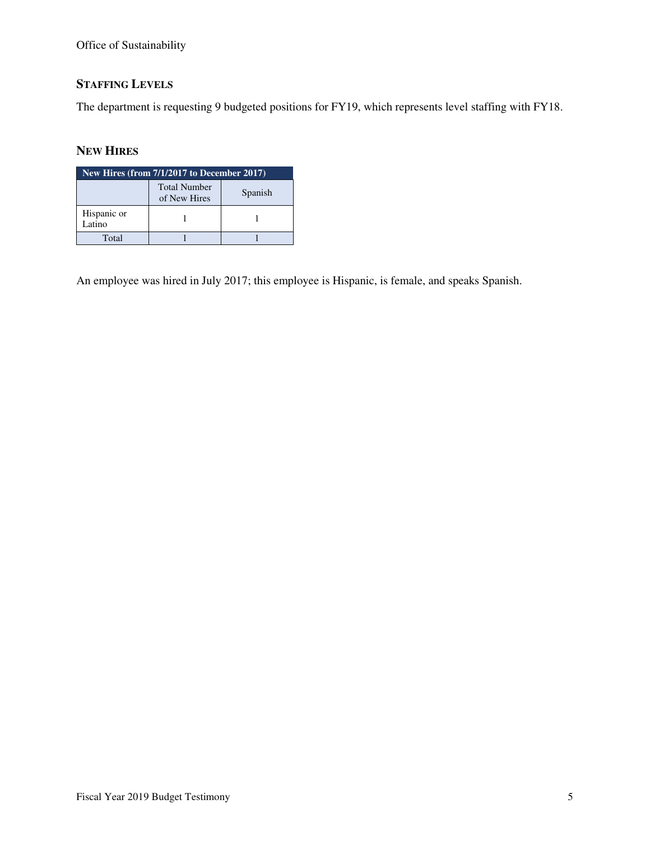Office of Sustainability

# **STAFFING LEVELS**

The department is requesting 9 budgeted positions for FY19, which represents level staffing with FY18.

# **NEW HIRES**

| New Hires (from 7/1/2017 to December 2017) |                                     |         |  |  |  |  |  |  |
|--------------------------------------------|-------------------------------------|---------|--|--|--|--|--|--|
|                                            | <b>Total Number</b><br>of New Hires | Spanish |  |  |  |  |  |  |
| Hispanic or<br>Latino                      |                                     |         |  |  |  |  |  |  |
| Total                                      |                                     |         |  |  |  |  |  |  |

An employee was hired in July 2017; this employee is Hispanic, is female, and speaks Spanish.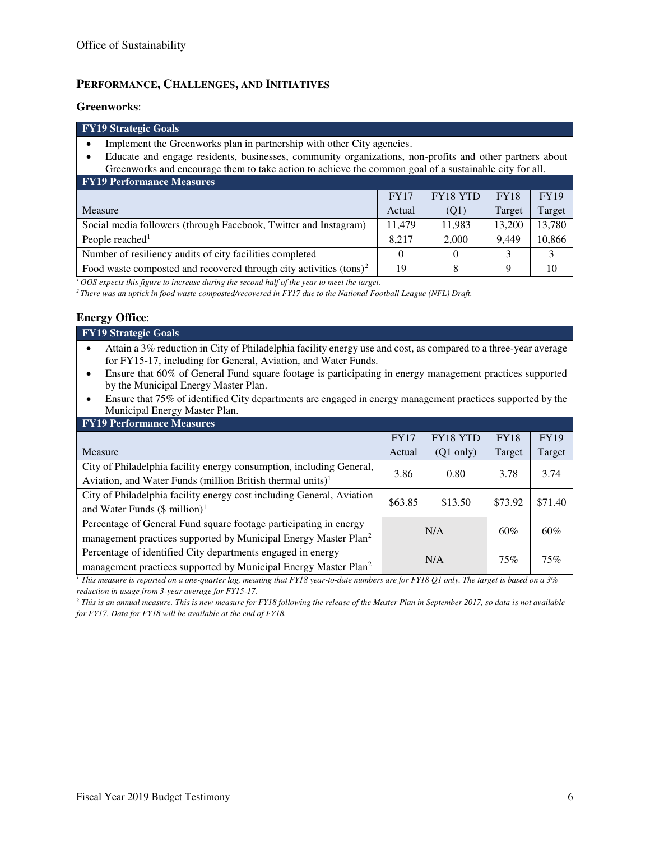## **PERFORMANCE, CHALLENGES, AND INITIATIVES**

#### **Greenworks**:

#### **FY19 Strategic Goals**

- Implement the Greenworks plan in partnership with other City agencies.
- Educate and engage residents, businesses, community organizations, non-profits and other partners about Greenworks and encourage them to take action to achieve the common goal of a sustainable city for all.

| <b>FY19 Performance Measures</b>                                             |             |          |             |             |  |  |  |  |  |
|------------------------------------------------------------------------------|-------------|----------|-------------|-------------|--|--|--|--|--|
|                                                                              | <b>FY17</b> | FY18 YTD | <b>FY18</b> | <b>FY19</b> |  |  |  |  |  |
| Measure                                                                      | Actual      | (Q1)     | Target      | Target      |  |  |  |  |  |
| Social media followers (through Facebook, Twitter and Instagram)             | 11.479      | 11.983   | 13,200      | 13,780      |  |  |  |  |  |
| People reached <sup>1</sup>                                                  | 8.217       | 2,000    | 9.449       | 10,866      |  |  |  |  |  |
| Number of resiliency audits of city facilities completed                     |             |          |             |             |  |  |  |  |  |
| Food waste composted and recovered through city activities $(\text{tons})^2$ | 19          |          |             | 10          |  |  |  |  |  |

*<sup>1</sup>OOS expects this figure to increase during the second half of the year to meet the target.* 

*<sup>2</sup>There was an uptick in food waste composted/recovered in FY17 due to the National Football League (NFL) Draft.* 

#### **Energy Office**:

| <b>FY19 Strategic Goals</b>                                                                                     |
|-----------------------------------------------------------------------------------------------------------------|
| Attain a 3% reduction in City of Philadelphia facility energy use and cost, as compared to a three-year average |
| for FY15-17, including for General, Aviation, and Water Funds.                                                  |

- Ensure that 60% of General Fund square footage is participating in energy management practices supported by the Municipal Energy Master Plan.
- Ensure that 75% of identified City departments are engaged in energy management practices supported by the Municipal Energy Master Plan.

| <b>FY19 Performance Measures</b>                                            |             |                     |             |             |  |  |  |  |  |
|-----------------------------------------------------------------------------|-------------|---------------------|-------------|-------------|--|--|--|--|--|
|                                                                             | <b>FY17</b> | FY18 YTD            | <b>FY18</b> | <b>FY19</b> |  |  |  |  |  |
| Measure                                                                     | Actual      | $(Q1 \text{ only})$ | Target      | Target      |  |  |  |  |  |
| City of Philadelphia facility energy consumption, including General,        | 3.86        | 0.80                | 3.78        | 3.74        |  |  |  |  |  |
| Aviation, and Water Funds (million British thermal units) <sup>1</sup>      |             |                     |             |             |  |  |  |  |  |
| City of Philadelphia facility energy cost including General, Aviation       | \$63.85     | \$13.50             | \$73.92     | \$71.40     |  |  |  |  |  |
| and Water Funds $(\$$ million) <sup>1</sup>                                 |             |                     |             |             |  |  |  |  |  |
| Percentage of General Fund square footage participating in energy           |             | N/A                 | $60\%$      | 60%         |  |  |  |  |  |
| management practices supported by Municipal Energy Master Plan <sup>2</sup> |             |                     |             |             |  |  |  |  |  |
| Percentage of identified City departments engaged in energy                 |             | N/A                 |             | 75%         |  |  |  |  |  |
| management practices supported by Municipal Energy Master Plan <sup>2</sup> |             |                     | 75%         |             |  |  |  |  |  |

*1 This measure is reported on a one-quarter lag, meaning that FY18 year-to-date numbers are for FY18 Q1 only. The target is based on a 3% reduction in usage from 3-year average for FY15-17.* 

*2 This is an annual measure. This is new measure for FY18 following the release of the Master Plan in September 2017, so data is not available for FY17. Data for FY18 will be available at the end of FY18.*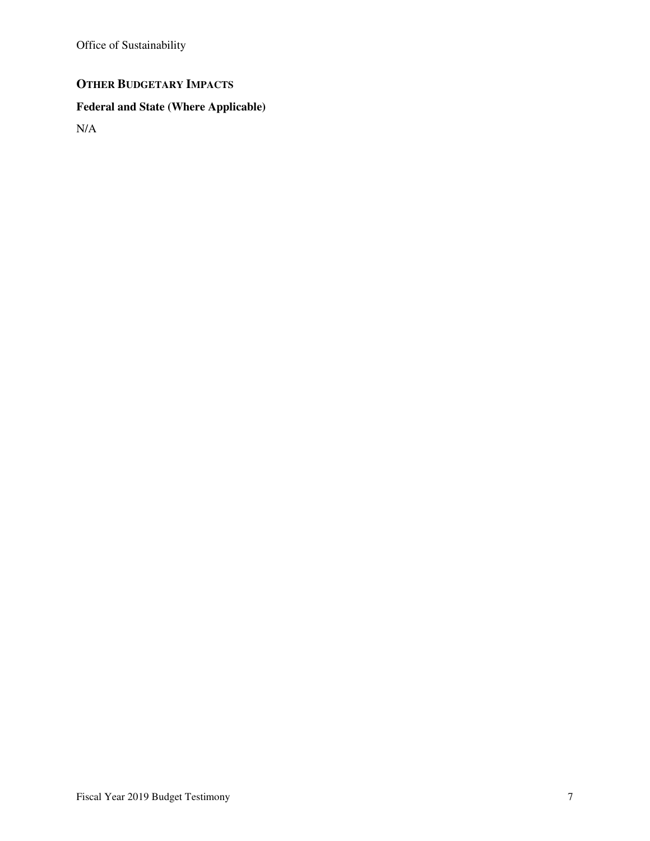Office of Sustainability

# **OTHER BUDGETARY IMPACTS**

# **Federal and State (Where Applicable)**

N/A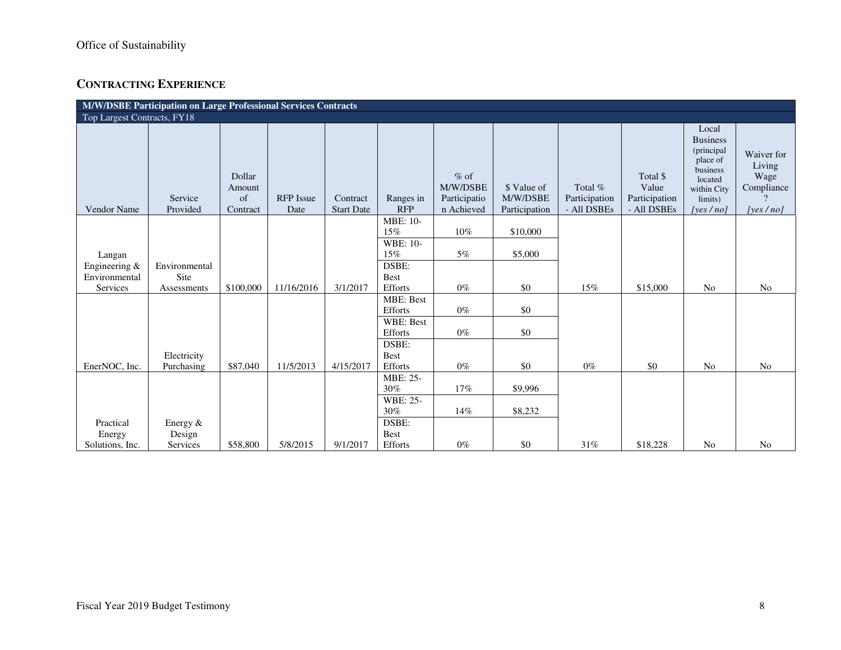# **CONTRACTING EXPERIENCE**

|                             | M/W/DSBE Participation on Large Professional Services Contracts |                                    |                          |                               |                         |                                                  |                                          |                                         |                                                   |                                                                                                                     |                                                        |  |
|-----------------------------|-----------------------------------------------------------------|------------------------------------|--------------------------|-------------------------------|-------------------------|--------------------------------------------------|------------------------------------------|-----------------------------------------|---------------------------------------------------|---------------------------------------------------------------------------------------------------------------------|--------------------------------------------------------|--|
| Top Largest Contracts, FY18 |                                                                 |                                    |                          |                               |                         |                                                  |                                          |                                         |                                                   |                                                                                                                     |                                                        |  |
| Vendor Name                 | Service<br>Provided                                             | Dollar<br>Amount<br>of<br>Contract | <b>RFP</b> Issue<br>Date | Contract<br><b>Start Date</b> | Ranges in<br><b>RFP</b> | $%$ of<br>M/W/DSBE<br>Participatio<br>n Achieved | \$ Value of<br>M/W/DSBE<br>Participation | Total %<br>Participation<br>- All DSBEs | Total \$<br>Value<br>Participation<br>- All DSBEs | Local<br><b>Business</b><br>(principal<br>place of<br>business<br>located<br>within City<br>limits)<br>[yes $/no$ ] | Waiver for<br>Living<br>Wage<br>Compliance<br>[yes/no] |  |
|                             |                                                                 |                                    |                          |                               | <b>MBE: 10-</b>         |                                                  |                                          |                                         |                                                   |                                                                                                                     |                                                        |  |
|                             |                                                                 |                                    |                          |                               | $15\%$                  | 10%                                              | \$10,000                                 |                                         |                                                   |                                                                                                                     |                                                        |  |
|                             |                                                                 |                                    |                          |                               | <b>WBE: 10-</b>         |                                                  |                                          |                                         |                                                   |                                                                                                                     |                                                        |  |
| Langan                      |                                                                 |                                    |                          |                               | 15%                     | 5%                                               | \$5,000                                  |                                         |                                                   |                                                                                                                     |                                                        |  |
| Engineering &               | Environmental                                                   |                                    |                          |                               | DSBE:                   |                                                  |                                          |                                         |                                                   |                                                                                                                     |                                                        |  |
| Environmental               | Site                                                            |                                    |                          |                               | <b>Best</b>             |                                                  |                                          |                                         |                                                   |                                                                                                                     |                                                        |  |
| Services                    | Assessments                                                     | \$100,000                          | 11/16/2016               | 3/1/2017                      | Efforts                 | $0\%$                                            | \$0                                      | 15%                                     | \$15,000                                          | N <sub>o</sub>                                                                                                      | N <sub>o</sub>                                         |  |
|                             |                                                                 |                                    |                          |                               | MBE: Best               |                                                  |                                          |                                         |                                                   |                                                                                                                     |                                                        |  |
|                             |                                                                 |                                    |                          |                               | Efforts                 | $0\%$                                            | $\$0$                                    |                                         |                                                   |                                                                                                                     |                                                        |  |
|                             |                                                                 |                                    |                          |                               | WBE: Best               |                                                  |                                          |                                         |                                                   |                                                                                                                     |                                                        |  |
|                             |                                                                 |                                    |                          |                               | Efforts                 | $0\%$                                            | $\$0$                                    |                                         |                                                   |                                                                                                                     |                                                        |  |
|                             |                                                                 |                                    |                          |                               | DSBE:                   |                                                  |                                          |                                         |                                                   |                                                                                                                     |                                                        |  |
|                             | Electricity                                                     |                                    |                          |                               | <b>Best</b>             |                                                  |                                          |                                         |                                                   |                                                                                                                     |                                                        |  |
| EnerNOC, Inc.               | Purchasing                                                      | \$87,040                           | 11/5/2013                | 4/15/2017                     | Efforts                 | $0\%$                                            | \$0                                      | $0\%$                                   | \$0                                               | N <sub>o</sub>                                                                                                      | N <sub>o</sub>                                         |  |
|                             |                                                                 |                                    |                          |                               | MBE: 25-                |                                                  |                                          |                                         |                                                   |                                                                                                                     |                                                        |  |
|                             |                                                                 |                                    |                          |                               | $30\%$                  | 17%                                              | \$9,996                                  |                                         |                                                   |                                                                                                                     |                                                        |  |
|                             |                                                                 |                                    |                          |                               | WBE: 25-                |                                                  |                                          |                                         |                                                   |                                                                                                                     |                                                        |  |
|                             |                                                                 |                                    |                          |                               | 30%                     | 14%                                              | \$8,232                                  |                                         |                                                   |                                                                                                                     |                                                        |  |
| Practical                   | Energy &                                                        |                                    |                          |                               | DSBE:                   |                                                  |                                          |                                         |                                                   |                                                                                                                     |                                                        |  |
| Energy                      | Design                                                          |                                    |                          |                               | <b>Best</b>             |                                                  |                                          |                                         |                                                   |                                                                                                                     |                                                        |  |
| Solutions, Inc.             | Services                                                        | \$58,800                           | 5/8/2015                 | 9/1/2017                      | Efforts                 | $0\%$                                            | \$0                                      | 31%                                     | \$18,228                                          | N <sub>0</sub>                                                                                                      | N <sub>0</sub>                                         |  |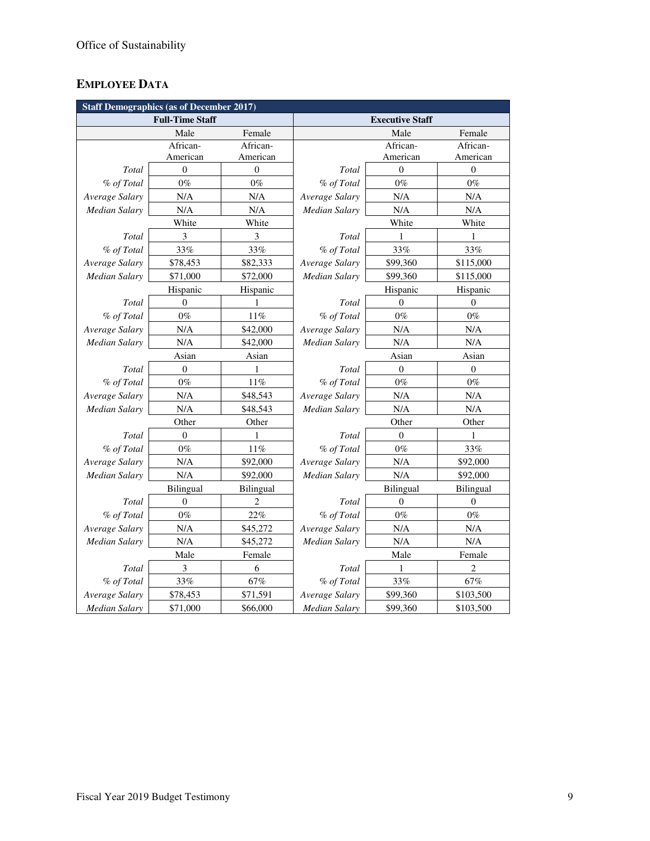# **EMPLOYEE DATA**

|                      | <b>Staff Demographics (as of December 2017)</b> |                |                        |                  |                  |  |  |  |  |  |
|----------------------|-------------------------------------------------|----------------|------------------------|------------------|------------------|--|--|--|--|--|
|                      | <b>Full-Time Staff</b>                          |                | <b>Executive Staff</b> |                  |                  |  |  |  |  |  |
|                      | Male                                            | Female         |                        | Male             | Female           |  |  |  |  |  |
|                      | African-                                        | African-       |                        | African-         | African-         |  |  |  |  |  |
|                      | American                                        | American       |                        | American         | American         |  |  |  |  |  |
| Total                | $\overline{0}$                                  | $\theta$       | Total                  | $\Omega$         | $\mathbf{0}$     |  |  |  |  |  |
| % of Total           | $0\%$                                           | $0\%$          | % of Total             | $0\%$            | $0\%$            |  |  |  |  |  |
| Average Salary       | N/A                                             | N/A            | Average Salary         | N/A              | N/A              |  |  |  |  |  |
| <b>Median Salary</b> | N/A                                             | N/A            | Median Salary          | N/A              | N/A              |  |  |  |  |  |
|                      | White                                           | White          |                        | White            | White            |  |  |  |  |  |
| Total                | 3                                               | 3              | Total                  | 1                | 1                |  |  |  |  |  |
| % of Total           | 33%                                             | 33%            | % of Total             | 33%              | 33%              |  |  |  |  |  |
| Average Salary       | \$78,453                                        | \$82,333       | Average Salary         | \$99,360         | \$115,000        |  |  |  |  |  |
| Median Salary        | \$71,000                                        | \$72,000       | Median Salary          | \$99,360         | \$115,000        |  |  |  |  |  |
|                      | Hispanic                                        | Hispanic       |                        | Hispanic         | Hispanic         |  |  |  |  |  |
| Total                | $\theta$                                        | 1              | Total                  | $\theta$         | $\theta$         |  |  |  |  |  |
| % of Total           | $0\%$                                           | $11\%$         | % of Total             | $0\%$            | $0\%$            |  |  |  |  |  |
| Average Salary       | N/A                                             | \$42,000       | Average Salary         | N/A              | N/A              |  |  |  |  |  |
| Median Salary        | N/A                                             | \$42,000       | Median Salary          | N/A              | $\rm N/A$        |  |  |  |  |  |
|                      | Asian                                           | Asian          |                        | Asian            | Asian            |  |  |  |  |  |
| Total                | $\mathbf{0}$                                    | 1              | Total                  | $\theta$         | $\boldsymbol{0}$ |  |  |  |  |  |
| % of Total           | $0\%$                                           | 11%            | % of Total             | $0\%$            | $0\%$            |  |  |  |  |  |
| Average Salary       | N/A                                             | \$48,543       | Average Salary         | N/A              | N/A              |  |  |  |  |  |
| <b>Median Salary</b> | N/A                                             | \$48,543       | <b>Median Salary</b>   | N/A              | N/A              |  |  |  |  |  |
|                      | Other                                           | Other          |                        | Other            | Other            |  |  |  |  |  |
| Total                | $\boldsymbol{0}$                                | 1              | Total                  | $\boldsymbol{0}$ | 1                |  |  |  |  |  |
| % of Total           | $0\%$                                           | 11%            | % of Total             | $0\%$            | 33%              |  |  |  |  |  |
| Average Salary       | N/A                                             | \$92,000       | Average Salary         | N/A              | \$92,000         |  |  |  |  |  |
| Median Salary        | N/A                                             | \$92,000       | Median Salary          | N/A              | \$92,000         |  |  |  |  |  |
|                      | Bilingual                                       | Bilingual      |                        | Bilingual        | Bilingual        |  |  |  |  |  |
| Total                | $\mathbf{0}$                                    | $\overline{2}$ | Total                  | $\theta$         | $\mathbf{0}$     |  |  |  |  |  |
| % of Total           | $0\%$                                           | 22%            | % of Total             | $0\%$            | $0\%$            |  |  |  |  |  |
| Average Salary       | N/A                                             | \$45,272       | Average Salary         | N/A              | N/A              |  |  |  |  |  |
| <b>Median Salary</b> | N/A                                             | \$45,272       | <b>Median Salary</b>   | N/A              | N/A              |  |  |  |  |  |
|                      | Male                                            | Female         |                        | Male             | Female           |  |  |  |  |  |
| Total                | 3                                               | 6              | Total                  | 1                | 2                |  |  |  |  |  |
| % of Total           | 33%                                             | 67%            | % of Total             | 33%              | 67%              |  |  |  |  |  |
| Average Salary       | \$78,453                                        | \$71,591       | Average Salary         | \$99,360         | \$103,500        |  |  |  |  |  |
| <b>Median Salary</b> | \$71,000                                        | \$66,000       | <b>Median Salary</b>   | \$99,360         | \$103,500        |  |  |  |  |  |